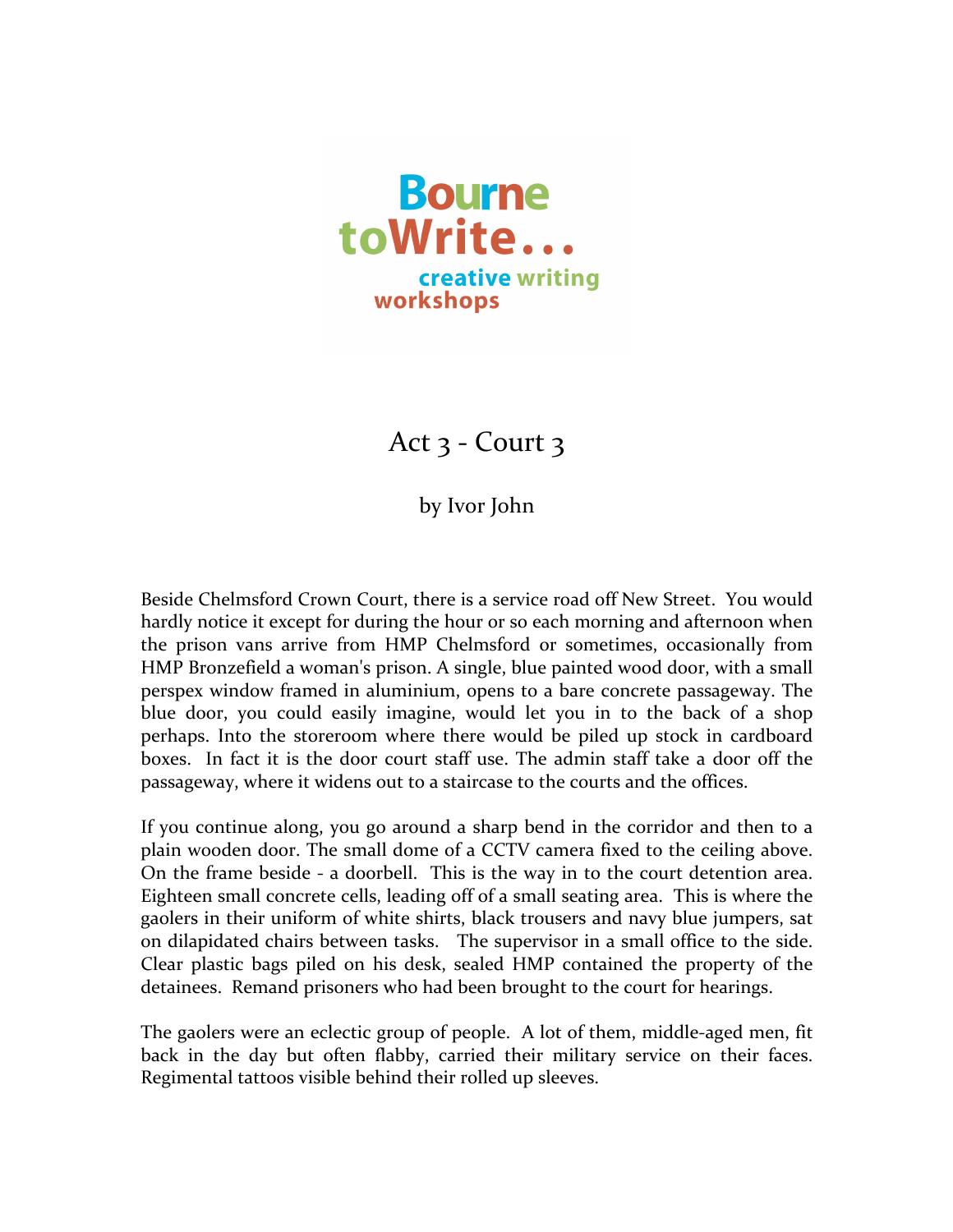

Act  $3$  - Court  $3$ 

by Ivor John

Beside Chelmsford Crown Court, there is a service road off New Street. You would hardly notice it except for during the hour or so each morning and afternoon when the prison vans arrive from HMP Chelmsford or sometimes, occasionally from HMP Bronzefield a woman's prison. A single, blue painted wood door, with a small perspex window framed in aluminium, opens to a bare concrete passageway. The blue door, you could easily imagine, would let you in to the back of a shop perhaps. Into the storeroom where there would be piled up stock in cardboard boxes. In fact it is the door court staff use. The admin staff take a door off the passageway, where it widens out to a staircase to the courts and the offices.

If you continue along, you go around a sharp bend in the corridor and then to a plain wooden door. The small dome of a CCTV camera fixed to the ceiling above. On the frame beside - a doorbell. This is the way in to the court detention area. Eighteen small concrete cells, leading off of a small seating area. This is where the gaolers in their uniform of white shirts, black trousers and navy blue jumpers, sat on dilapidated chairs between tasks. The supervisor in a small office to the side. Clear plastic bags piled on his desk, sealed HMP contained the property of the detainees. Remand prisoners who had been brought to the court for hearings.

The gaolers were an eclectic group of people. A lot of them, middle-aged men, fit back in the day but often flabby, carried their military service on their faces. Regimental tattoos visible behind their rolled up sleeves.